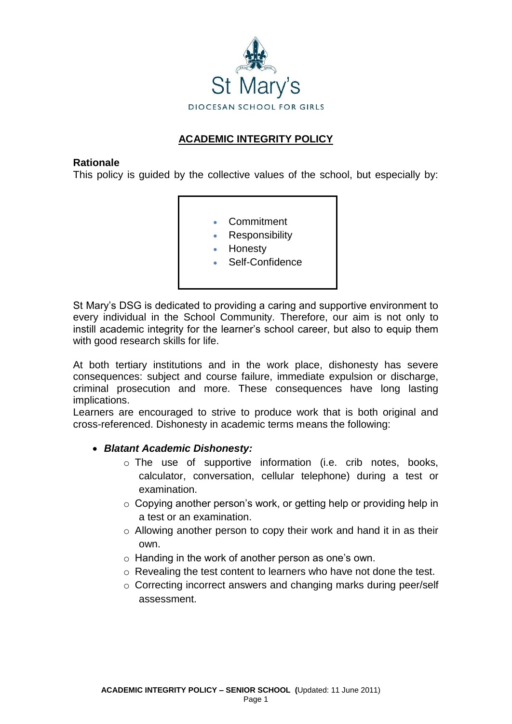

## **ACADEMIC INTEGRITY POLICY**

#### **Rationale**

This policy is guided by the collective values of the school, but especially by:

- Commitment
- Responsibility
- Honesty
- Self-Confidence

St Mary's DSG is dedicated to providing a caring and supportive environment to every individual in the School Community. Therefore, our aim is not only to instill academic integrity for the learner's school career, but also to equip them with good research skills for life.

At both tertiary institutions and in the work place, dishonesty has severe consequences: subject and course failure, immediate expulsion or discharge, criminal prosecution and more. These consequences have long lasting implications.

Learners are encouraged to strive to produce work that is both original and cross-referenced. Dishonesty in academic terms means the following:

### *Blatant Academic Dishonesty:*

- o The use of supportive information (i.e. crib notes, books, calculator, conversation, cellular telephone) during a test or examination.
- $\circ$  Copying another person's work, or getting help or providing help in a test or an examination.
- o Allowing another person to copy their work and hand it in as their own.
- o Handing in the work of another person as one's own.
- o Revealing the test content to learners who have not done the test.
- o Correcting incorrect answers and changing marks during peer/self assessment.